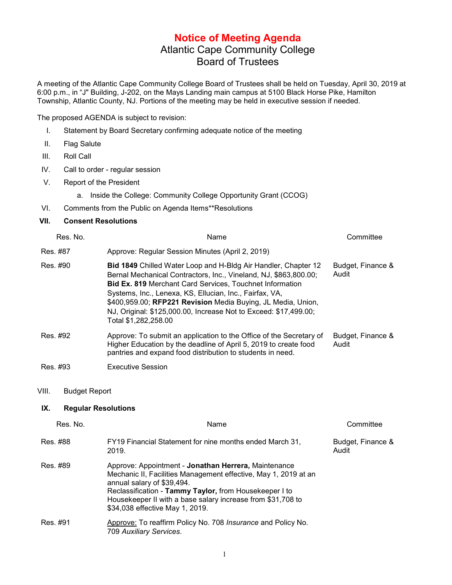## **Notice of Meeting Agenda** Atlantic Cape Community College Board of Trustees

A meeting of the Atlantic Cape Community College Board of Trustees shall be held on Tuesday, April 30, 2019 at 6:00 p.m., in "J" Building, J-202, on the Mays Landing main campus at 5100 Black Horse Pike, Hamilton Township, Atlantic County, NJ. Portions of the meeting may be held in executive session if needed.

The proposed AGENDA is subject to revision:

- I. Statement by Board Secretary confirming adequate notice of the meeting
- II. Flag Salute
- III. Roll Call
- IV. Call to order regular session
- V. Report of the President

a. Inside the College: Community College Opportunity Grant (CCOG)

VI. Comments from the Public on Agenda Items\*\*Resolutions

## **VII. Consent Resolutions**

| Res. No. | Name                                                                                                                                                                                                                                                                                                                                                                                                                                | Committee                  |
|----------|-------------------------------------------------------------------------------------------------------------------------------------------------------------------------------------------------------------------------------------------------------------------------------------------------------------------------------------------------------------------------------------------------------------------------------------|----------------------------|
| Res. #87 | Approve: Regular Session Minutes (April 2, 2019)                                                                                                                                                                                                                                                                                                                                                                                    |                            |
| Res. #90 | <b>Bid 1849</b> Chilled Water Loop and H-Bldg Air Handler, Chapter 12<br>Bernal Mechanical Contractors, Inc., Vineland, NJ, \$863,800.00;<br><b>Bid Ex. 819 Merchant Card Services, Touchnet Information</b><br>Systems, Inc., Lenexa, KS, Ellucian, Inc., Fairfax, VA,<br>\$400,959.00; RFP221 Revision Media Buying, JL Media, Union,<br>NJ, Original: \$125,000.00, Increase Not to Exceed: \$17,499.00;<br>Total \$1,282,258.00 | Budget, Finance &<br>Audit |
| Res. #92 | Approve: To submit an application to the Office of the Secretary of<br>Higher Education by the deadline of April 5, 2019 to create food<br>pantries and expand food distribution to students in need.                                                                                                                                                                                                                               | Budget, Finance &<br>Audit |
| Res. #93 | <b>Executive Session</b>                                                                                                                                                                                                                                                                                                                                                                                                            |                            |

VIII. Budget Report

## **IX. Regular Resolutions**

| Res. No. | Name                                                                                                                                                                                                                                                                                                              | Committee                  |
|----------|-------------------------------------------------------------------------------------------------------------------------------------------------------------------------------------------------------------------------------------------------------------------------------------------------------------------|----------------------------|
| Res. #88 | FY19 Financial Statement for nine months ended March 31,<br>2019.                                                                                                                                                                                                                                                 | Budget, Finance &<br>Audit |
| Res. #89 | Approve: Appointment - Jonathan Herrera, Maintenance<br>Mechanic II, Facilities Management effective, May 1, 2019 at an<br>annual salary of \$39,494.<br>Reclassification - Tammy Taylor, from Housekeeper I to<br>Housekeeper II with a base salary increase from \$31,708 to<br>\$34,038 effective May 1, 2019. |                            |
| Res. #91 | Approve: To reaffirm Policy No. 708 Insurance and Policy No.<br>709 Auxiliary Services.                                                                                                                                                                                                                           |                            |